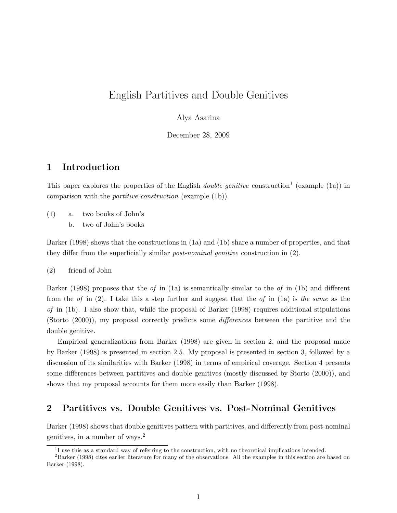# English Partitives and Double Genitives

#### Alya Asarina

December 28, 2009

## 1 Introduction

This paper explores the properties of the English *double genitive* construction<sup>1</sup> (example (1a)) in comparison with the partitive construction (example (1b)).

- (1) a. two books of John's
	- b. two of John's books

Barker (1998) shows that the constructions in (1a) and (1b) share a number of properties, and that they differ from the superficially similar post-nominal genitive construction in (2).

(2) friend of John

Barker (1998) proposes that the of in (1a) is semantically similar to the of in (1b) and different from the of in  $(2)$ . I take this a step further and suggest that the of in  $(1a)$  is the same as the of in  $(1b)$ . I also show that, while the proposal of Barker  $(1998)$  requires additional stipulations (Storto (2000)), my proposal correctly predicts some differences between the partitive and the double genitive.

Empirical generalizations from Barker (1998) are given in section 2, and the proposal made by Barker (1998) is presented in section 2.5. My proposal is presented in section 3, followed by a discussion of its similarities with Barker (1998) in terms of empirical coverage. Section 4 presents some differences between partitives and double genitives (mostly discussed by Storto (2000)), and shows that my proposal accounts for them more easily than Barker (1998).

## 2 Partitives vs. Double Genitives vs. Post-Nominal Genitives

Barker (1998) shows that double genitives pattern with partitives, and differently from post-nominal genitives, in a number of ways.<sup>2</sup>

<sup>&</sup>lt;sup>1</sup>I use this as a standard way of referring to the construction, with no theoretical implications intended.

<sup>2</sup>Barker (1998) cites earlier literature for many of the observations. All the examples in this section are based on Barker (1998).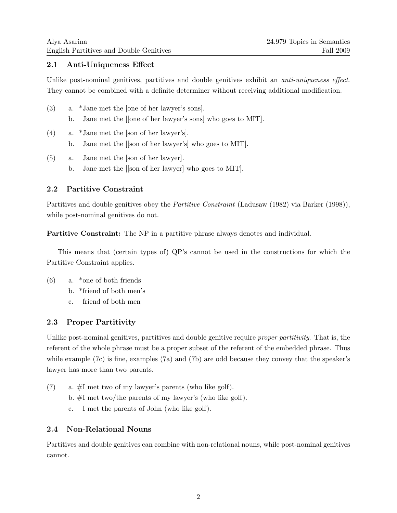## 2.1 Anti-Uniqueness Effect

Unlike post-nominal genitives, partitives and double genitives exhibit an *anti-uniqueness effect*. They cannot be combined with a definite determiner without receiving additional modification.

| (3) |    | a. *Jane met the [one of her lawyer's sons].                  |
|-----|----|---------------------------------------------------------------|
|     |    | b. Jane met the [[one of her lawyer's sons] who goes to MIT]. |
| (4) |    | a. *Jane met the [son of her lawyer's].                       |
|     | b. | Jane met the [[son of her lawyer's] who goes to MIT].         |

(5) a. Jane met the [son of her lawyer]. b. Jane met the [[son of her lawyer] who goes to MIT].

## 2.2 Partitive Constraint

Partitives and double genitives obey the *Partitive Constraint* (Ladusaw (1982) via Barker (1998)), while post-nominal genitives do not.

Partitive Constraint: The NP in a partitive phrase always denotes and individual.

This means that (certain types of) QP's cannot be used in the constructions for which the Partitive Constraint applies.

- (6) a. \*one of both friends
	- b. \*friend of both men's
	- c. friend of both men

## 2.3 Proper Partitivity

Unlike post-nominal genitives, partitives and double genitive require *proper partitivity*. That is, the referent of the whole phrase must be a proper subset of the referent of the embedded phrase. Thus while example (7c) is fine, examples (7a) and (7b) are odd because they convey that the speaker's lawyer has more than two parents.

(7) a.  $\#I$  met two of my lawyer's parents (who like golf). b. #I met two/the parents of my lawyer's (who like golf). c. I met the parents of John (who like golf).

## 2.4 Non-Relational Nouns

Partitives and double genitives can combine with non-relational nouns, while post-nominal genitives cannot.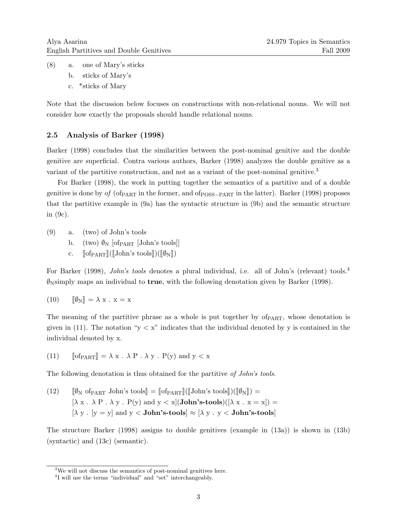- (8) a. one of Mary's sticks
	- b. sticks of Mary's
	- c. \*sticks of Mary

Note that the discussion below focuses on constructions with non-relational nouns. We will not consider how exactly the proposals should handle relational nouns.

### 2.5 Analysis of Barker (1998)

Barker (1998) concludes that the similarities between the post-nominal genitive and the double genitive are superficial. Contra various authors, Barker (1998) analyzes the double genitive as a variant of the partitive construction, and not as a variant of the post-nominal genitive.<sup>3</sup>

For Barker (1998), the work in putting together the semantics of a partitive and of a double genitive is done by of  $(of_{\text{PART}}$  in the former, and  $of_{\text{POSS-PART}}$  in the latter). Barker (1998) proposes that the partitive example in (9a) has the syntactic structure in (9b) and the semantic structure in (9c).

(9) a. (two) of John's tools

- b. (two)  $\mathcal{O}_N$  [of  $PART$  [John's tools]]
- c.  $\lceil \text{of}_{\text{PART}} \rceil (\lceil \text{John's tools} \rceil)(\lceil \emptyset_N \rceil)$

For Barker (1998), *John's tools* denotes a plural individual, i.e. all of John's (relevant) tools.<sup>4</sup>  $\mathcal{Y}_N$  maps an individual to **true**, with the following denotation given by Barker (1998).

$$
(10) \qquad [\![\emptyset_N]\!] = \lambda \mathbf{x} \cdot \mathbf{x} = \mathbf{x}
$$

The meaning of the partitive phrase as a whole is put together by of  $PART$ , whose denotation is given in (11). The notation " $y < x$ " indicates that the individual denoted by y is contained in the individual denoted by x.

(11)  $\text{of}_{\text{PART}}$  =  $\lambda x \cdot \lambda P \cdot \lambda y \cdot P(y)$  and  $y < x$ 

The following denotation is thus obtained for the partitive of John's tools.

(12) 
$$
[\![\emptyset_N \text{ of } \text{PART} \text{ John's tools}]\!] = [\![\text{ of } \text{PART}]\!] ([\![\text{John's tools}]\!])([\![\emptyset_N]\!]) = [\lambda x \cdot \lambda P \cdot \lambda y \cdot P(y) \text{ and } y < x] (\text{John's-tools})([\lambda x \cdot x = x]) = [\lambda y \cdot [y = y] \text{ and } y < \text{John's-tools}] \approx [\lambda y \cdot y < \text{John's-tools}]
$$

The structure Barker (1998) assigns to double genitives (example in (13a)) is shown in (13b) (syntactic) and (13c) (semantic).

<sup>3</sup>We will not discuss the semantics of post-nominal genitives here.

<sup>&</sup>lt;sup>4</sup>I will use the terms "individual" and "set" interchangeably.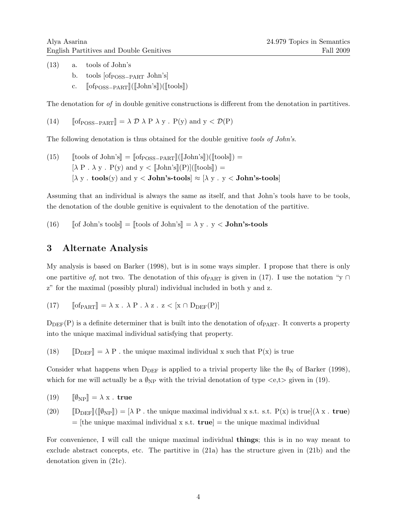(13) a. tools of John's b. tools  $[of_{\text{POSS-PART}}$  John's

c.  $\lceil \text{of}_{\text{POSS-PART}} \rceil (\lceil \text{John's} \rceil)(\lceil \text{tools} \rceil)$ 

The denotation for of in double genitive constructions is different from the denotation in partitives.

(14)  $\text{of }p_{\text{OSS}-\text{PART}} \equiv \lambda \mathcal{D} \lambda \text{ P } \lambda \text{ y}$ . P(y) and  $\text{y} < \mathcal{D}(\text{P})$ 

The following denotation is thus obtained for the double genitive tools of John's.

(15) [tools of John's] = 
$$
[of_{POSS-PART}]([John's])([tools]) =
$$
 $[\lambda P \cdot \lambda y \cdot P(y)$  and  $y < [John's](P)([tools]) =$  $[\lambda y \cdot \text{tools}(y)$  and  $y < \text{John's-tools} \approx [\lambda y \cdot y < \text{John's-tools}]$ 

Assuming that an individual is always the same as itself, and that John's tools have to be tools, the denotation of the double genitive is equivalent to the denotation of the partitive.

(16)  $\left[ \text{of John's tools} \right] = \left[ \text{tools of John's} \right] = \lambda y \cdot y < \text{John's-tools}$ 

## 3 Alternate Analysis

My analysis is based on Barker (1998), but is in some ways simpler. I propose that there is only one partitive of, not two. The denotation of this of  $_{\text{PART}}$  is given in (17). I use the notation "y ∩ z" for the maximal (possibly plural) individual included in both y and z.

(17) 
$$
\llbracket \text{of}_{\text{PART}} \rrbracket = \lambda x \cdot \lambda P \cdot \lambda z \cdot z < [x \cap D_{\text{DEF}}(P)]
$$

 $D<sub>DEF</sub>(P)$  is a definite determiner that is built into the denotation of of  $P<sub>ART</sub>$ . It converts a property into the unique maximal individual satisfying that property.

(18)  $[D_{DEF} ] = \lambda P$ . the unique maximal individual x such that P(x) is true

Consider what happens when  $D_{DEF}$  is applied to a trivial property like the  $\ell_N$  of Barker (1998), which for me will actually be a  $\mathcal{O}_{NP}$  with the trivial denotation of type  $\langle e,t \rangle$  given in (19).

(19) 
$$
\llbracket \emptyset_{\text{NP}} \rrbracket = \lambda \mathbf{x} \cdot \mathbf{true}
$$

 $(20)$   $[D_{DEF}](\phi_{NP}) = [\lambda P$ . the unique maximal individual x s.t. s.t.  $P(x)$  is true $(\lambda x \cdot true)$  $=$  [the unique maximal individual x s.t. **true**]  $=$  the unique maximal individual

For convenience, I will call the unique maximal individual things; this is in no way meant to exclude abstract concepts, etc. The partitive in (21a) has the structure given in (21b) and the denotation given in (21c).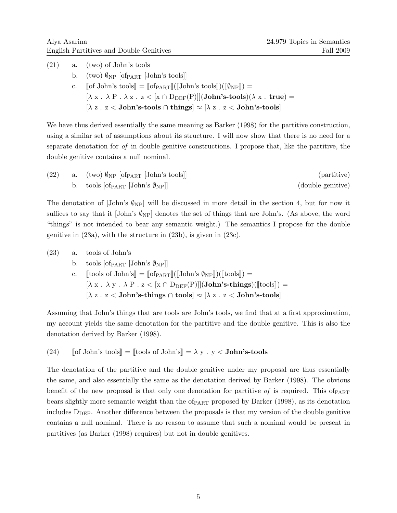| (21) | a. (two) of John's tools                                                                                                                                       |
|------|----------------------------------------------------------------------------------------------------------------------------------------------------------------|
|      | b. (two) $\mathcal{V}_{NP}$ [of <sub>PART</sub> [John's tools]]                                                                                                |
|      | c. $\lceil \text{of John's tools} \rceil = \lceil \text{of}_{\text{PART}} \rceil (\lceil \text{John's tools} \rceil)(\lceil \varnothing_{\text{NP}} \rceil) =$ |
|      | $[\lambda x \cdot \lambda P \cdot \lambda z \cdot z < [x \cap D_{DEF}(P)]$ (John's-tools) ( $\lambda x \cdot true$ ) =                                         |
|      | $[\lambda z \cdot z <$ John's-tools $\cap$ things $\approx$ [ $\lambda z \cdot z <$ John's-tools]                                                              |

We have thus derived essentially the same meaning as Barker (1998) for the partitive construction, using a similar set of assumptions about its structure. I will now show that there is no need for a separate denotation for of in double genitive constructions. I propose that, like the partitive, the double genitive contains a null nominal.

| (22) | a. (two) $\mathcal{O}_{NP}$ [of $_{PART}$ [John's tools]] | (partitive)       |
|------|-----------------------------------------------------------|-------------------|
|      | b. tools [of PART [John's $\varnothing_{\rm NP}$ ]]       | (double genitive) |

The denotation of  $\lceil \text{John's } \emptyset_{\text{NP}} \rceil$  will be discussed in more detail in the section 4, but for now it suffices to say that it [John's  $\mathcal{O}_{NP}$ ] denotes the set of things that are John's. (As above, the word "things" is not intended to bear any semantic weight.) The semantics I propose for the double genitive in (23a), with the structure in (23b), is given in (23c).

| (23) | a. | tools of John's                                                                                                    |
|------|----|--------------------------------------------------------------------------------------------------------------------|
|      |    | b. tools $\left[\text{of}_{\text{PART}}   \text{John's } \emptyset_{\text{NP}}\right]$                             |
|      | c. | $[\text{tools of John's}] = [\text{of}_{\text{PART}}]([\text{John's } \emptyset_{\text{NP}}])([\text{tools}]) =$   |
|      |    | $[\lambda x \cdot \lambda y \cdot \lambda P \cdot z < [x \cap D_{DEF}(P)]]$ (John's-things) ( $[\text{tools}]$ ) = |
|      |    | $[\lambda z \cdot z <$ John's-things $\cap$ tools $] \approx [\lambda z \cdot z <$ John's-tools $]$                |

Assuming that John's things that are tools are John's tools, we find that at a first approximation, my account yields the same denotation for the partitive and the double genitive. This is also the denotation derived by Barker (1998).

(24)  $\left[\text{[of John's tools]} = \left[\text{[tools of John's]} = \lambda y \cdot y < \text{John's-tools}\right]\right]$ 

The denotation of the partitive and the double genitive under my proposal are thus essentially the same, and also essentially the same as the denotation derived by Barker (1998). The obvious benefit of the new proposal is that only one denotation for partitive of is required. This of  $PART$ bears slightly more semantic weight than the of $_{\text{PART}}$  proposed by Barker (1998), as its denotation includes  $D<sub>DEF</sub>$ . Another difference between the proposals is that my version of the double genitive contains a null nominal. There is no reason to assume that such a nominal would be present in partitives (as Barker (1998) requires) but not in double genitives.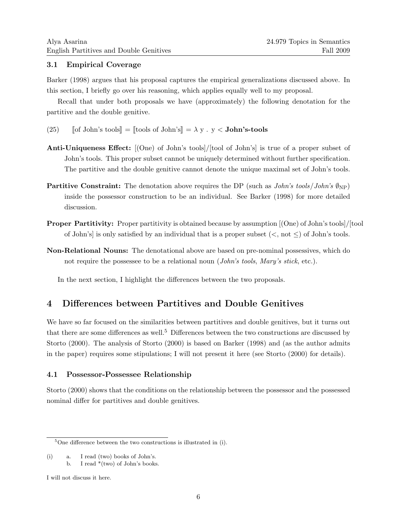### 3.1 Empirical Coverage

Barker (1998) argues that his proposal captures the empirical generalizations discussed above. In this section, I briefly go over his reasoning, which applies equally well to my proposal.

Recall that under both proposals we have (approximately) the following denotation for the partitive and the double genitive.

- (25)  $\left[ \text{of John's tools} \right] = \left[ \text{tools of John's} \right] = \lambda y \cdot y < \text{John's-tools}$
- Anti-Uniqueness Effect:  $(One)$  of John's tools //tool of John's is true of a proper subset of John's tools. This proper subset cannot be uniquely determined without further specification. The partitive and the double genitive cannot denote the unique maximal set of John's tools.
- **Partitive Constraint:** The denotation above requires the DP (such as  $John's \, tools/John's \, \mathcal{O}_{NP}$ ) inside the possessor construction to be an individual. See Barker (1998) for more detailed discussion.
- Proper Partitivity: Proper partitivity is obtained because by assumption  $[$ (One) of John's tools $]$ /[tool] of John's is only satisfied by an individual that is a proper subset  $(<, not \leq)$  of John's tools.
- Non-Relational Nouns: The denotational above are based on pre-nominal possessives, which do not require the possessee to be a relational noun (John's tools, Mary's stick, etc.).

In the next section, I highlight the differences between the two proposals.

## 4 Differences between Partitives and Double Genitives

We have so far focused on the similarities between partitives and double genitives, but it turns out that there are some differences as well.<sup>5</sup> Differences between the two constructions are discussed by Storto (2000). The analysis of Storto (2000) is based on Barker (1998) and (as the author admits in the paper) requires some stipulations; I will not present it here (see Storto (2000) for details).

### 4.1 Possessor-Possessee Relationship

Storto (2000) shows that the conditions on the relationship between the possessor and the possessed nominal differ for partitives and double genitives.

(i) a. I read (two) books of John's.

 $5$ One difference between the two constructions is illustrated in (i).

b. I read  $*(two)$  of John's books.

I will not discuss it here.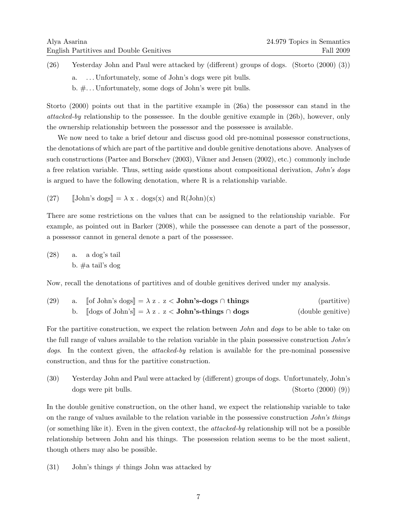(26) Yesterday John and Paul were attacked by (different) groups of dogs. (Storto (2000) (3)) a. . . . Unfortunately, some of John's dogs were pit bulls. b. #. . . Unfortunately, some dogs of John's were pit bulls.

Storto (2000) points out that in the partitive example in (26a) the possessor can stand in the attacked-by relationship to the possessee. In the double genitive example in (26b), however, only the ownership relationship between the possessor and the possessee is available.

We now need to take a brief detour and discuss good old pre-nominal possessor constructions, the denotations of which are part of the partitive and double genitive denotations above. Analyses of such constructions (Partee and Borschev (2003), Vikner and Jensen (2002), etc.) commonly include a free relation variable. Thus, setting aside questions about compositional derivation, John's dogs is argued to have the following denotation, where R is a relationship variable.

(27) 
$$
\Box
$$
 [John's dogs] =  $\lambda x \cdot \text{dogs}(x)$  and  $R(\text{John})(x)$ 

There are some restrictions on the values that can be assigned to the relationship variable. For example, as pointed out in Barker (2008), while the possessee can denote a part of the possessor, a possessor cannot in general denote a part of the possessee.

(28) a. a dog's tail b. #a tail's dog

Now, recall the denotations of partitives and of double genitives derived under my analysis.

| (29) | a. [of John's dogs] = $\lambda$ z. z < <b>John's-dogs</b> $\cap$ things                 | (partitive)       |
|------|-----------------------------------------------------------------------------------------|-------------------|
|      | b. $\left[\text{dogs of John's}\right] = \lambda z \cdot z <$ John's-things $\cap$ dogs | (double genitive) |

For the partitive construction, we expect the relation between *John* and *dogs* to be able to take on the full range of values available to the relation variable in the plain possessive construction John's dogs. In the context given, the attacked-by relation is available for the pre-nominal possessive construction, and thus for the partitive construction.

(30) Yesterday John and Paul were attacked by (different) groups of dogs. Unfortunately, John's dogs were pit bulls. (Storto (2000) (9))

In the double genitive construction, on the other hand, we expect the relationship variable to take on the range of values available to the relation variable in the possessive construction John's things (or something like it). Even in the given context, the attacked-by relationship will not be a possible relationship between John and his things. The possession relation seems to be the most salient, though others may also be possible.

(31) John's things  $\neq$  things John was attacked by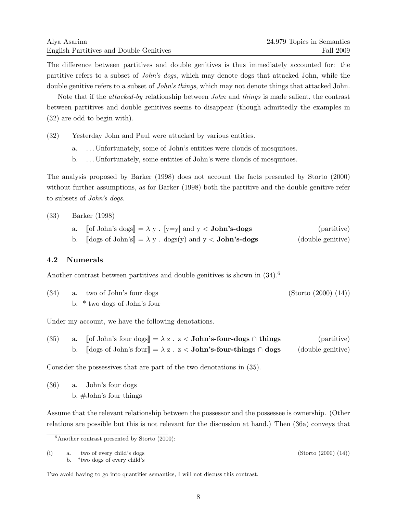The difference between partitives and double genitives is thus immediately accounted for: the partitive refers to a subset of John's dogs, which may denote dogs that attacked John, while the double genitive refers to a subset of *John's things*, which may not denote things that attacked John.

Note that if the attacked-by relationship between John and things is made salient, the contrast between partitives and double genitives seems to disappear (though admittedly the examples in (32) are odd to begin with).

(32) Yesterday John and Paul were attacked by various entities.

- a. . . . Unfortunately, some of John's entities were clouds of mosquitoes.
- b. . . . Unfortunately, some entities of John's were clouds of mosquitoes.

The analysis proposed by Barker (1998) does not account the facts presented by Storto (2000) without further assumptions, as for Barker (1998) both the partitive and the double genitive refer to subsets of John's dogs.

#### (33) Barker (1998)

| a. | $\lceil \cdot \rceil$ John's dogs $\rceil = \lambda$ y . [y=y] and y < <b>John's-dogs</b>                 | (partitive)       |
|----|-----------------------------------------------------------------------------------------------------------|-------------------|
|    | $\left[\text{dogs of John's}\right] = \lambda y \cdot \text{dogs}(y) \text{ and } y < \text{John's-dogs}$ | (double genitive) |

### 4.2 Numerals

Another contrast between partitives and double genitives is shown in  $(34)$ .<sup>6</sup>

| (34) | a. two of John's four dogs   | (Storto (2000) (14)) |
|------|------------------------------|----------------------|
|      | b. * two dogs of John's four |                      |

Under my account, we have the following denotations.

| (35) | $\lceil \cdot \rceil$ John's four dogs $\rceil = \lambda z$ . $z <$ John's-four-dogs $\cap$ things | (partitive)       |
|------|----------------------------------------------------------------------------------------------------|-------------------|
|      | $\lceil \text{dogs of John's four} \rceil = \lambda z$ . $z <$ John's-four-things $\cap$ dogs      | (double genitive) |

Consider the possessives that are part of the two denotations in (35).

(36) a. John's four dogs b. #John's four things

Assume that the relevant relationship between the possessor and the possessee is ownership. (Other relations are possible but this is not relevant for the discussion at hand.) Then (36a) conveys that

(i) a. two of every child's dogs  $(Storto (2000) (14))$ b. \*two dogs of every child's

 $6$ Another contrast presented by Storto (2000):

Two avoid having to go into quantifier semantics, I will not discuss this contrast.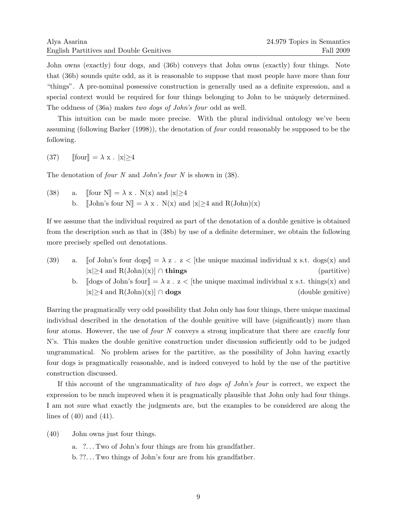John owns (exactly) four dogs, and (36b) conveys that John owns (exactly) four things. Note that (36b) sounds quite odd, as it is reasonable to suppose that most people have more than four "things". A pre-nominal possessive construction is generally used as a definite expression, and a special context would be required for four things belonging to John to be uniquely determined. The oddness of (36a) makes two dogs of John's four odd as well.

This intuition can be made more precise. With the plural individual ontology we've been assuming (following Barker (1998)), the denotation of four could reasonably be supposed to be the following.

(37)  $\lceil \text{four} \rceil = \lambda \mathbf{x} \cdot |\mathbf{x}| > 4$ 

The denotation of *four* N and *John's four* N is shown in (38).

(38) a.  $\lbrack \lbrack \text{four N} \rbrack = \lambda x$ . N(x) and  $|x| \ge 4$ b.  $\llbracket$ John's four N $\rrbracket = \lambda x$ . N(x) and  $|x| \ge 4$  and R(John)(x)

If we assume that the individual required as part of the denotation of a double genitive is obtained from the description such as that in (38b) by use of a definite determiner, we obtain the following more precisely spelled out denotations.

- (39) a.  $\lceil \text{of John's four dogs} \rceil = \lambda z$ .  $z <$  [the unique maximal individual x s.t. dogs(x) and |x|≥4 and R(John)(x)] ∩ things (partitive)
	- b.  $\[\]$ dogs of John's four $\] = \lambda z \cdot z \leq$  [the unique maximal individual x s.t. things(x) and |x|≥4 and R(John)(x)] ∩ dogs (double genitive)

Barring the pragmatically very odd possibility that John only has four things, there unique maximal individual described in the denotation of the double genitive will have (significantly) more than four atoms. However, the use of *four* N conveys a strong implicature that there are *exactly* four N's. This makes the double genitive construction under discussion sufficiently odd to be judged ungrammatical. No problem arises for the partitive, as the possibility of John having exactly four dogs is pragmatically reasonable, and is indeed conveyed to hold by the use of the partitive construction discussed.

If this account of the ungrammaticality of two dogs of John's four is correct, we expect the expression to be much improved when it is pragmatically plausible that John only had four things. I am not sure what exactly the judgments are, but the examples to be considered are along the lines of  $(40)$  and  $(41)$ .

(40) John owns just four things.

a. ?. . . Two of John's four things are from his grandfather.

b. ??. . . Two things of John's four are from his grandfather.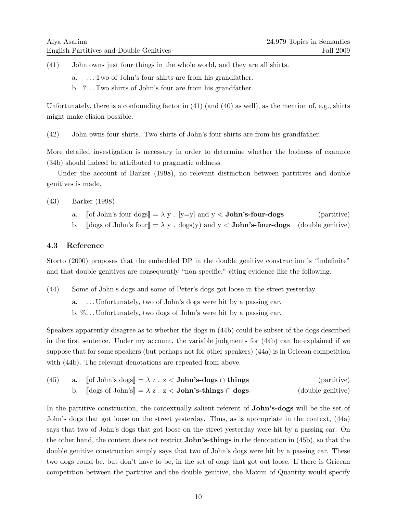- (41) John owns just four things in the whole world, and they are all shirts.
	- a. . . . Two of John's four shirts are from his grandfather.
	- b. ?. . . Two shirts of John's four are from his grandfather.

Unfortunately, there is a confounding factor in (41) (and (40) as well), as the mention of, e.g., shirts might make elision possible.

(42) John owns four shirts. Two shirts of John's four shirts are from his grandfather.

More detailed investigation is necessary in order to determine whether the badness of example (34b) should indeed be attributed to pragmatic oddness.

Under the account of Barker (1998), no relevant distinction between partitives and double genitives is made.

### (43) Barker (1998)

- a.  $\left[ \text{of John's four dogs} \right] = \lambda y$ .  $\left[ y=y \right]$  and  $y <$  **John's-four-dogs** (partitive)
- b.  $\|\text{dogs of John's four}\| = \lambda y$ . dogs(y) and y < **John's-four-dogs** (double genitive)

### 4.3 Reference

Storto (2000) proposes that the embedded DP in the double genitive construction is "indefinite" and that double genitives are consequently "non-specific," citing evidence like the following.

(44) Some of John's dogs and some of Peter's dogs got loose in the street yesterday.

a. . . . Unfortunately, two of John's dogs were hit by a passing car. b. %. . . Unfortunately, two dogs of John's were hit by a passing car.

Speakers apparently disagree as to whether the dogs in (44b) could be subset of the dogs described in the first sentence. Under my account, the variable judgments for (44b) can be explained if we suppose that for some speakers (but perhaps not for other speakers) (44a) is in Gricean competition with (44b). The relevant denotations are repeated from above.

| (45) | a. [of John's dogs] = $\lambda$ z . z < <b>John's-dogs</b> $\cap$ things                      | (partitive)       |
|------|-----------------------------------------------------------------------------------------------|-------------------|
|      | $\llbracket \text{dogs of John's} \rrbracket = \lambda z \cdot z <$ John's-things $\cap$ dogs | (double genitive) |

In the partitive construction, the contextually salient referent of **John's-dogs** will be the set of John's dogs that got loose on the street yesterday. Thus, as is appropriate in the context, (44a) says that two of John's dogs that got loose on the street yesterday were hit by a passing car. On the other hand, the context does not restrict John's-things in the denotation in (45b), so that the double genitive construction simply says that two of John's dogs were hit by a passing car. These two dogs could be, but don't have to be, in the set of dogs that got out loose. If there is Gricean competition between the partitive and the double genitive, the Maxim of Quantity would specify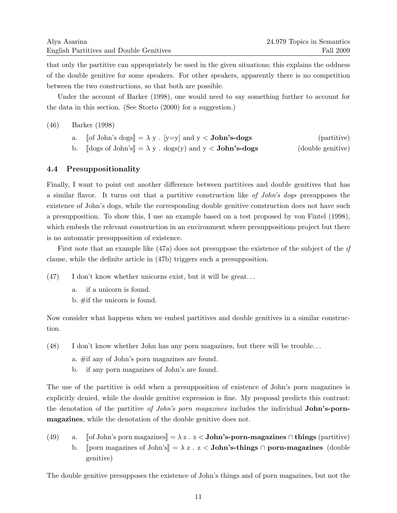that only the partitive can appropriately be used in the given situations; this explains the oddness of the double genitive for some speakers. For other speakers, apparently there is no competition between the two constructions, so that both are possible.

Under the account of Barker (1998), one would need to say something further to account for the data in this section. (See Storto (2000) for a suggestion.)

### (46) Barker (1998)

|  |  |  | a. [of John's dogs] = $\lambda$ y . [y=y] and y < <b>John's-dogs</b> |  | (partitive)                               |
|--|--|--|----------------------------------------------------------------------|--|-------------------------------------------|
|  |  |  |                                                                      |  | $\sim$ $\sim$ $\sim$ $\sim$ $\sim$ $\sim$ |

b.  $\[\text{dogs of John's}]\] = \lambda y \cdot \text{dogs}(y) \text{ and } y < \text{John's-dogs}$  (double genitive)

### 4.4 Presuppositionality

Finally, I want to point out another difference between partitives and double genitives that has a similar flavor. It turns out that a partitive construction like of John's dogs presupposes the existence of John's dogs, while the corresponding double genitive construction does not have such a presupposition. To show this, I use an example based on a test proposed by von Fintel (1998), which embeds the relevant construction in an environment where presuppositions project but there is no automatic presupposition of existence.

First note that an example like (47a) does not presuppose the existence of the subject of the if clause, while the definite article in (47b) triggers such a presupposition.

 $(47)$  I don't know whether unicorns exist, but it will be great...

- a. if a unicorn is found.
- b. #if the unicorn is found.

Now consider what happens when we embed partitives and double genitives in a similar construction.

- (48) I don't know whether John has any porn magazines, but there will be trouble. . .
	- a. #if any of John's porn magazines are found.
	- b. if any porn magazines of John's are found.

The use of the partitive is odd when a presupposition of existence of John's porn magazines is explicitly denied, while the double genitive expression is fine. My proposal predicts this contrast: the denotation of the partitive of John's porn magazines includes the individual **John's-porn**magazines, while the denotation of the double genitive does not.

(49) a.  $\lceil \text{of John's porn magazines} \rceil = \lambda z$ .  $z <$ **John's-porn-magazines** ∩ things (partitive) b. Jporn magazines of John's  $\mathbb{R} = \lambda z$ .  $z <$  John's-things  $\cap$  porn-magazines (double genitive)

The double genitive presupposes the existence of John's things and of porn magazines, but not the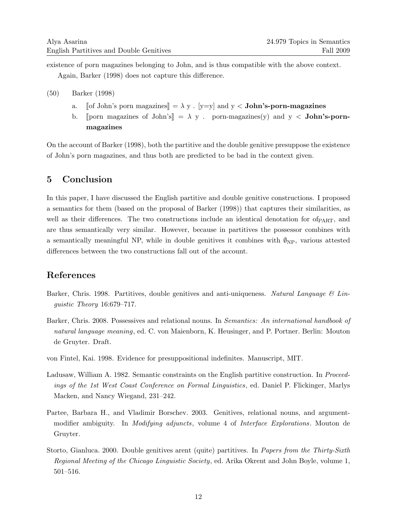existence of porn magazines belonging to John, and is thus compatible with the above context.

Again, Barker (1998) does not capture this difference.

- (50) Barker (1998)
	- a. [of John's porn magazines] =  $\lambda$  y . [y=y] and y < **John's-porn-magazines**
	- b. [porn magazines of John's] =  $\lambda$  y . porn-magazines(y) and y < John's-pornmagazines

On the account of Barker (1998), both the partitive and the double genitive presuppose the existence of John's porn magazines, and thus both are predicted to be bad in the context given.

# 5 Conclusion

In this paper, I have discussed the English partitive and double genitive constructions. I proposed a semantics for them (based on the proposal of Barker (1998)) that captures their similarities, as well as their differences. The two constructions include an identical denotation for  $of_{\text{PART}}$ , and are thus semantically very similar. However, because in partitives the possessor combines with a semantically meaningful NP, while in double genitives it combines with  $\mathcal{O}_{NP}$ , various attested differences between the two constructions fall out of the account.

# References

- Barker, Chris. 1998. Partitives, double genitives and anti-uniqueness. Natural Language  $\mathcal{C}$  Linguistic Theory 16:679–717.
- Barker, Chris. 2008. Possessives and relational nouns. In *Semantics: An international handbook of* natural language meaning, ed. C. von Maienborn, K. Heusinger, and P. Portner. Berlin: Mouton de Gruyter. Draft.
- von Fintel, Kai. 1998. Evidence for presuppositional indefinites. Manuscript, MIT.
- Ladusaw, William A. 1982. Semantic constraints on the English partitive construction. In Proceedings of the 1st West Coast Conference on Formal Linguistics, ed. Daniel P. Flickinger, Marlys Macken, and Nancy Wiegand, 231–242.
- Partee, Barbara H., and Vladimir Borschev. 2003. Genitives, relational nouns, and argumentmodifier ambiguity. In *Modifying adjuncts*, volume 4 of *Interface Explorations*. Mouton de Gruyter.
- Storto, Gianluca. 2000. Double genitives arent (quite) partitives. In Papers from the Thirty-Sixth Regional Meeting of the Chicago Linguistic Society, ed. Arika Okrent and John Boyle, volume 1, 501–516.